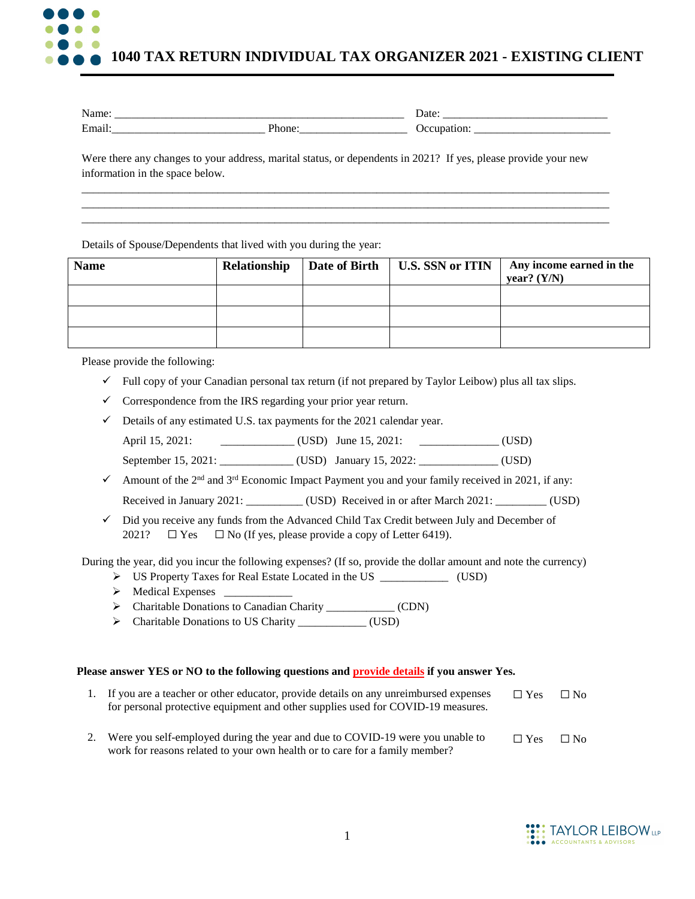

| - -                                        |        | _____      |
|--------------------------------------------|--------|------------|
| ________                                   |        | __________ |
| $\blacksquare$<br>________________________ | ______ | .          |

Were there any changes to your address, marital status, or dependents in 2021? If yes, please provide your new information in the space below.

\_\_\_\_\_\_\_\_\_\_\_\_\_\_\_\_\_\_\_\_\_\_\_\_\_\_\_\_\_\_\_\_\_\_\_\_\_\_\_\_\_\_\_\_\_\_\_\_\_\_\_\_\_\_\_\_\_\_\_\_\_\_\_\_\_\_\_\_\_\_\_\_\_\_\_\_\_\_\_\_\_\_\_\_\_\_\_\_\_\_\_\_\_ \_\_\_\_\_\_\_\_\_\_\_\_\_\_\_\_\_\_\_\_\_\_\_\_\_\_\_\_\_\_\_\_\_\_\_\_\_\_\_\_\_\_\_\_\_\_\_\_\_\_\_\_\_\_\_\_\_\_\_\_\_\_\_\_\_\_\_\_\_\_\_\_\_\_\_\_\_\_\_\_\_\_\_\_\_\_\_\_\_\_\_\_\_ \_\_\_\_\_\_\_\_\_\_\_\_\_\_\_\_\_\_\_\_\_\_\_\_\_\_\_\_\_\_\_\_\_\_\_\_\_\_\_\_\_\_\_\_\_\_\_\_\_\_\_\_\_\_\_\_\_\_\_\_\_\_\_\_\_\_\_\_\_\_\_\_\_\_\_\_\_\_\_\_\_\_\_\_\_\_\_\_\_\_\_\_\_

Details of Spouse/Dependents that lived with you during the year:

| <b>Name</b> | Relationship | Date of Birth   U.S. SSN or ITIN | Any income earned in the<br>year? $(Y/N)$ |
|-------------|--------------|----------------------------------|-------------------------------------------|
|             |              |                                  |                                           |
|             |              |                                  |                                           |
|             |              |                                  |                                           |

Please provide the following:

- $\checkmark$  Full copy of your Canadian personal tax return (if not prepared by Taylor Leibow) plus all tax slips.
- $\checkmark$  Correspondence from the IRS regarding your prior year return.
- $\checkmark$  Details of any estimated U.S. tax payments for the 2021 calendar year. April 15, 2021: \_\_\_\_\_\_\_\_\_\_\_\_\_ (USD) June 15, 2021: \_\_\_\_\_\_\_\_\_\_\_\_\_\_ (USD) September 15, 2021: \_\_\_\_\_\_\_\_\_\_\_\_ (USD) January 15, 2022: \_\_\_\_\_\_\_\_\_\_\_ (USD)
- Amount of the  $2<sup>nd</sup>$  and  $3<sup>rd</sup>$  Economic Impact Payment you and your family received in 2021, if any: Received in January 2021: \_\_\_\_\_\_\_\_\_\_ (USD) Received in or after March 2021: \_\_\_\_\_\_\_\_ (USD)
- $\checkmark$  Did you receive any funds from the Advanced Child Tax Credit between July and December of 2021?  $\Box$  Yes  $\Box$  No (If yes, please provide a copy of Letter 6419).

During the year, did you incur the following expenses? (If so, provide the dollar amount and note the currency)

- US Property Taxes for Real Estate Located in the US \_\_\_\_\_\_\_\_\_\_\_\_ (USD)
- Medical Expenses \_\_\_\_\_\_\_\_\_\_\_\_
- > Charitable Donations to Canadian Charity (CDN)
- > Charitable Donations to US Charity \_\_\_\_\_\_\_\_\_\_\_\_\_\_ (USD)

## **Please answer YES or NO to the following questions and provide details if you answer Yes.**

| 1. If you are a teacher or other educator, provide details on any unreimbursed expenses<br>for personal protective equipment and other supplies used for COVID-19 measures. | $\Box$ Yes | $\Box$ No |  |
|-----------------------------------------------------------------------------------------------------------------------------------------------------------------------------|------------|-----------|--|
| 2. Were you self-employed during the year and due to COVID-19 were you unable to<br>work for reasons related to your own health or to care for a family member?             | $\Box$ Yes | $\Box$ No |  |

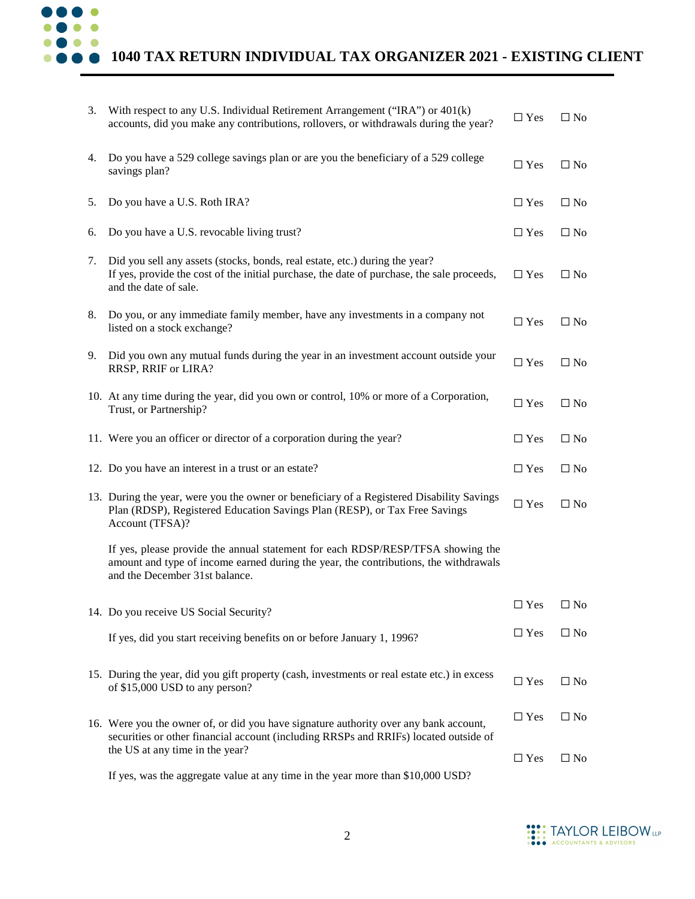

## **1040 TAX RETURN INDIVIDUAL TAX ORGANIZER 2021 - EXISTING CLIENT**

| 3. | With respect to any U.S. Individual Retirement Arrangement ("IRA") or 401(k)<br>accounts, did you make any contributions, rollovers, or withdrawals during the year?                                      | $\Box$ Yes    | $\Box$ No    |
|----|-----------------------------------------------------------------------------------------------------------------------------------------------------------------------------------------------------------|---------------|--------------|
| 4. | Do you have a 529 college savings plan or are you the beneficiary of a 529 college<br>savings plan?                                                                                                       | $\Box$ Yes    | $\square$ No |
| 5. | Do you have a U.S. Roth IRA?                                                                                                                                                                              | $\Box$ Yes    | $\Box$ No    |
| 6. | Do you have a U.S. revocable living trust?                                                                                                                                                                | $\Box$ Yes    | $\square$ No |
| 7. | Did you sell any assets (stocks, bonds, real estate, etc.) during the year?<br>If yes, provide the cost of the initial purchase, the date of purchase, the sale proceeds,<br>and the date of sale.        | $\Box$ Yes    | $\square$ No |
| 8. | Do you, or any immediate family member, have any investments in a company not<br>listed on a stock exchange?                                                                                              | $\Box$ Yes    | $\Box$ No    |
| 9. | Did you own any mutual funds during the year in an investment account outside your<br>RRSP, RRIF or LIRA?                                                                                                 | $\Box$ Yes    | $\Box$ No    |
|    | 10. At any time during the year, did you own or control, 10% or more of a Corporation,<br>Trust, or Partnership?                                                                                          | $\Box$ Yes    | $\Box$ No    |
|    | 11. Were you an officer or director of a corporation during the year?                                                                                                                                     | $\Box$ Yes    | $\Box$ No    |
|    | 12. Do you have an interest in a trust or an estate?                                                                                                                                                      | $\Box$ Yes    | $\square$ No |
|    | 13. During the year, were you the owner or beneficiary of a Registered Disability Savings<br>Plan (RDSP), Registered Education Savings Plan (RESP), or Tax Free Savings<br>Account (TFSA)?                | $\Box$ Yes    | $\Box$ No    |
|    | If yes, please provide the annual statement for each RDSP/RESP/TFSA showing the<br>amount and type of income earned during the year, the contributions, the withdrawals<br>and the December 31st balance. |               |              |
|    | 14. Do you receive US Social Security?                                                                                                                                                                    | $\Box$ Yes    | $\square$ No |
|    | If yes, did you start receiving benefits on or before January 1, 1996?                                                                                                                                    | $\Box$ Yes    | $\Box$ No    |
|    | 15. During the year, did you gift property (cash, investments or real estate etc.) in excess<br>of \$15,000 USD to any person?                                                                            | $\square$ Yes | $\Box$ No    |
|    | 16. Were you the owner of, or did you have signature authority over any bank account,<br>securities or other financial account (including RRSPs and RRIFs) located outside of                             | $\Box$ Yes    | $\square$ No |
|    | the US at any time in the year?                                                                                                                                                                           | $\Box$ Yes    | $\Box$ No    |